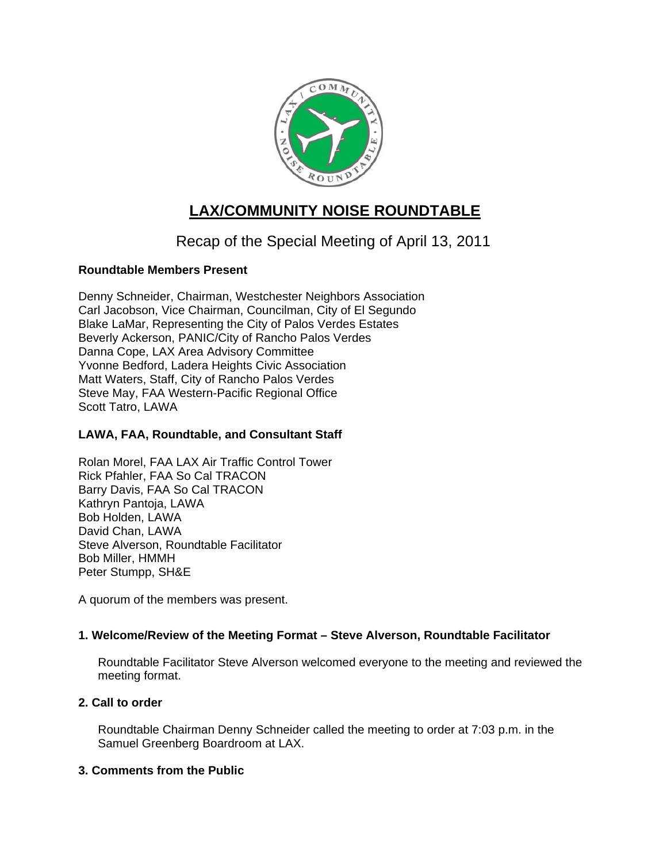

# **LAX/COMMUNITY NOISE ROUNDTABLE**

# Recap of the Special Meeting of April 13, 2011

# **Roundtable Members Present**

Denny Schneider, Chairman, Westchester Neighbors Association Carl Jacobson, Vice Chairman, Councilman, City of El Segundo Blake LaMar, Representing the City of Palos Verdes Estates Beverly Ackerson, PANIC/City of Rancho Palos Verdes Danna Cope, LAX Area Advisory Committee Yvonne Bedford, Ladera Heights Civic Association Matt Waters, Staff, City of Rancho Palos Verdes Steve May, FAA Western-Pacific Regional Office Scott Tatro, LAWA

# **LAWA, FAA, Roundtable, and Consultant Staff**

Rolan Morel, FAA LAX Air Traffic Control Tower Rick Pfahler, FAA So Cal TRACON Barry Davis, FAA So Cal TRACON Kathryn Pantoja, LAWA Bob Holden, LAWA David Chan, LAWA Steve Alverson, Roundtable Facilitator Bob Miller, HMMH Peter Stumpp, SH&E

A quorum of the members was present.

# **1. Welcome/Review of the Meeting Format – Steve Alverson, Roundtable Facilitator**

Roundtable Facilitator Steve Alverson welcomed everyone to the meeting and reviewed the meeting format.

# **2. Call to order**

Roundtable Chairman Denny Schneider called the meeting to order at 7:03 p.m. in the Samuel Greenberg Boardroom at LAX.

# **3. Comments from the Public**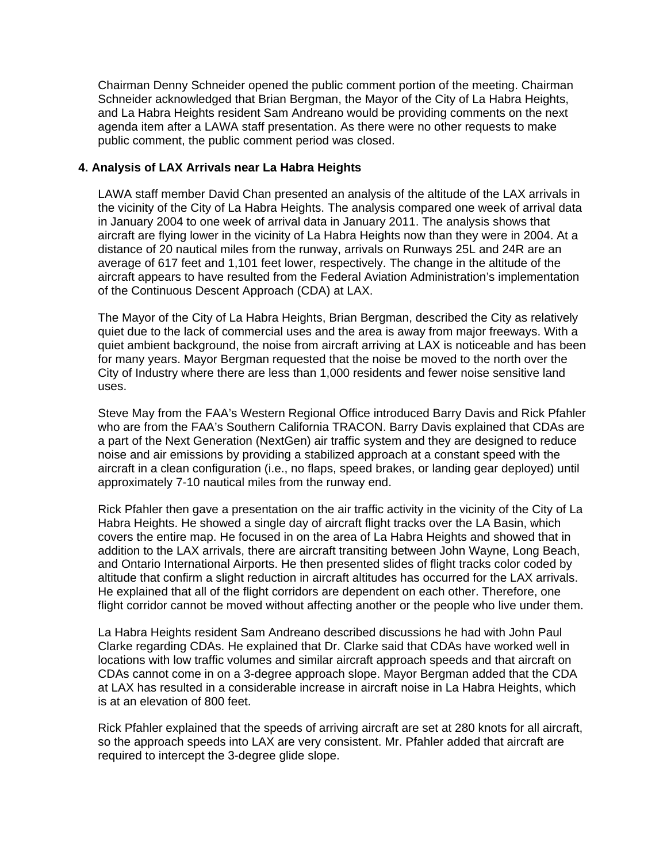Chairman Denny Schneider opened the public comment portion of the meeting. Chairman Schneider acknowledged that Brian Bergman, the Mayor of the City of La Habra Heights, and La Habra Heights resident Sam Andreano would be providing comments on the next agenda item after a LAWA staff presentation. As there were no other requests to make public comment, the public comment period was closed.

## **4. Analysis of LAX Arrivals near La Habra Heights**

LAWA staff member David Chan presented an analysis of the altitude of the LAX arrivals in the vicinity of the City of La Habra Heights. The analysis compared one week of arrival data in January 2004 to one week of arrival data in January 2011. The analysis shows that aircraft are flying lower in the vicinity of La Habra Heights now than they were in 2004. At a distance of 20 nautical miles from the runway, arrivals on Runways 25L and 24R are an average of 617 feet and 1,101 feet lower, respectively. The change in the altitude of the aircraft appears to have resulted from the Federal Aviation Administration's implementation of the Continuous Descent Approach (CDA) at LAX.

The Mayor of the City of La Habra Heights, Brian Bergman, described the City as relatively quiet due to the lack of commercial uses and the area is away from major freeways. With a quiet ambient background, the noise from aircraft arriving at LAX is noticeable and has been for many years. Mayor Bergman requested that the noise be moved to the north over the City of Industry where there are less than 1,000 residents and fewer noise sensitive land uses.

Steve May from the FAA's Western Regional Office introduced Barry Davis and Rick Pfahler who are from the FAA's Southern California TRACON. Barry Davis explained that CDAs are a part of the Next Generation (NextGen) air traffic system and they are designed to reduce noise and air emissions by providing a stabilized approach at a constant speed with the aircraft in a clean configuration (i.e., no flaps, speed brakes, or landing gear deployed) until approximately 7-10 nautical miles from the runway end.

Rick Pfahler then gave a presentation on the air traffic activity in the vicinity of the City of La Habra Heights. He showed a single day of aircraft flight tracks over the LA Basin, which covers the entire map. He focused in on the area of La Habra Heights and showed that in addition to the LAX arrivals, there are aircraft transiting between John Wayne, Long Beach, and Ontario International Airports. He then presented slides of flight tracks color coded by altitude that confirm a slight reduction in aircraft altitudes has occurred for the LAX arrivals. He explained that all of the flight corridors are dependent on each other. Therefore, one flight corridor cannot be moved without affecting another or the people who live under them.

La Habra Heights resident Sam Andreano described discussions he had with John Paul Clarke regarding CDAs. He explained that Dr. Clarke said that CDAs have worked well in locations with low traffic volumes and similar aircraft approach speeds and that aircraft on CDAs cannot come in on a 3-degree approach slope. Mayor Bergman added that the CDA at LAX has resulted in a considerable increase in aircraft noise in La Habra Heights, which is at an elevation of 800 feet.

Rick Pfahler explained that the speeds of arriving aircraft are set at 280 knots for all aircraft, so the approach speeds into LAX are very consistent. Mr. Pfahler added that aircraft are required to intercept the 3-degree glide slope.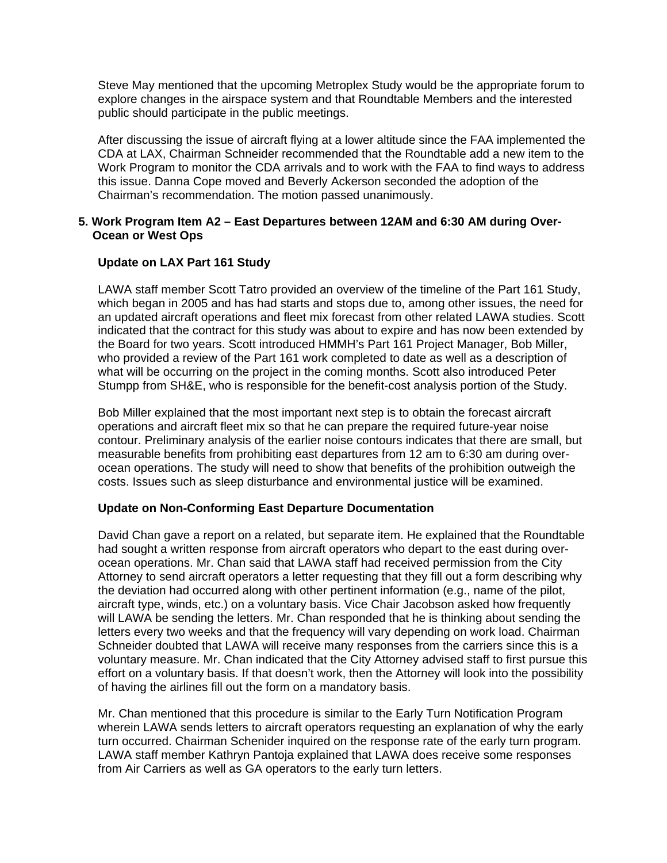Steve May mentioned that the upcoming Metroplex Study would be the appropriate forum to explore changes in the airspace system and that Roundtable Members and the interested public should participate in the public meetings.

After discussing the issue of aircraft flying at a lower altitude since the FAA implemented the CDA at LAX, Chairman Schneider recommended that the Roundtable add a new item to the Work Program to monitor the CDA arrivals and to work with the FAA to find ways to address this issue. Danna Cope moved and Beverly Ackerson seconded the adoption of the Chairman's recommendation. The motion passed unanimously.

## **5. Work Program Item A2 – East Departures between 12AM and 6:30 AM during Over-Ocean or West Ops**

## **Update on LAX Part 161 Study**

LAWA staff member Scott Tatro provided an overview of the timeline of the Part 161 Study, which began in 2005 and has had starts and stops due to, among other issues, the need for an updated aircraft operations and fleet mix forecast from other related LAWA studies. Scott indicated that the contract for this study was about to expire and has now been extended by the Board for two years. Scott introduced HMMH's Part 161 Project Manager, Bob Miller, who provided a review of the Part 161 work completed to date as well as a description of what will be occurring on the project in the coming months. Scott also introduced Peter Stumpp from SH&E, who is responsible for the benefit-cost analysis portion of the Study.

Bob Miller explained that the most important next step is to obtain the forecast aircraft operations and aircraft fleet mix so that he can prepare the required future-year noise contour. Preliminary analysis of the earlier noise contours indicates that there are small, but measurable benefits from prohibiting east departures from 12 am to 6:30 am during overocean operations. The study will need to show that benefits of the prohibition outweigh the costs. Issues such as sleep disturbance and environmental justice will be examined.

#### **Update on Non-Conforming East Departure Documentation**

David Chan gave a report on a related, but separate item. He explained that the Roundtable had sought a written response from aircraft operators who depart to the east during overocean operations. Mr. Chan said that LAWA staff had received permission from the City Attorney to send aircraft operators a letter requesting that they fill out a form describing why the deviation had occurred along with other pertinent information (e.g., name of the pilot, aircraft type, winds, etc.) on a voluntary basis. Vice Chair Jacobson asked how frequently will LAWA be sending the letters. Mr. Chan responded that he is thinking about sending the letters every two weeks and that the frequency will vary depending on work load. Chairman Schneider doubted that LAWA will receive many responses from the carriers since this is a voluntary measure. Mr. Chan indicated that the City Attorney advised staff to first pursue this effort on a voluntary basis. If that doesn't work, then the Attorney will look into the possibility of having the airlines fill out the form on a mandatory basis.

Mr. Chan mentioned that this procedure is similar to the Early Turn Notification Program wherein LAWA sends letters to aircraft operators requesting an explanation of why the early turn occurred. Chairman Schenider inquired on the response rate of the early turn program. LAWA staff member Kathryn Pantoja explained that LAWA does receive some responses from Air Carriers as well as GA operators to the early turn letters.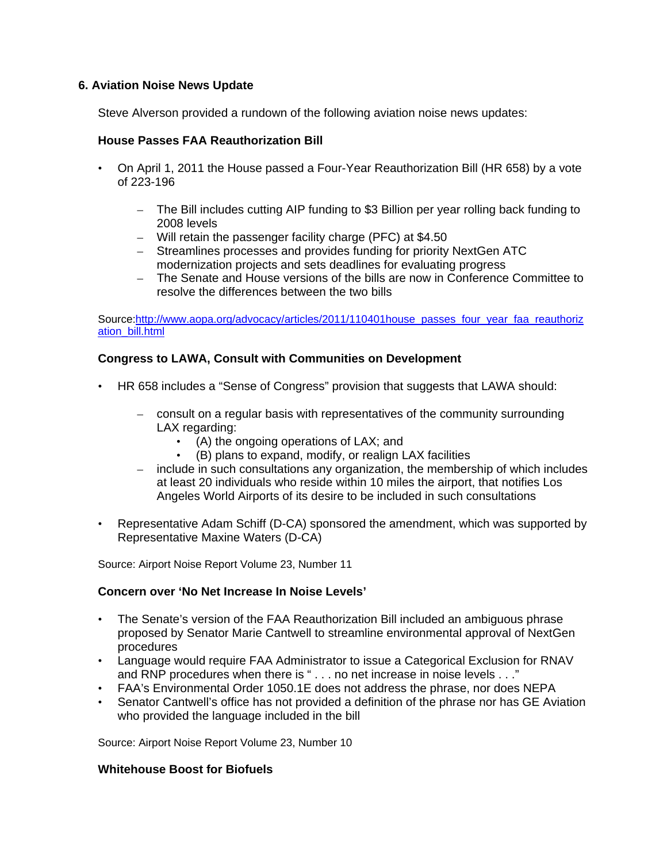## **6. Aviation Noise News Update**

Steve Alverson provided a rundown of the following aviation noise news updates:

## **House Passes FAA Reauthorization Bill**

- On April 1, 2011 the House passed a Four-Year Reauthorization Bill (HR 658) by a vote of 223-196
	- The Bill includes cutting AIP funding to \$3 Billion per year rolling back funding to 2008 levels
	- Will retain the passenger facility charge (PFC) at \$4.50
	- Streamlines processes and provides funding for priority NextGen ATC modernization projects and sets deadlines for evaluating progress
	- The Senate and House versions of the bills are now in Conference Committee to resolve the differences between the two bills

Source[:http://www.aopa.org/advocacy/articles/2011/110401house\\_passes\\_four\\_year\\_faa\\_reauthoriz](http://www.aopa.org/advocacy/articles/2011/110401house_passes_four_year_faa_reauthorization_bill.html) [ation\\_bill.html](http://www.aopa.org/advocacy/articles/2011/110401house_passes_four_year_faa_reauthorization_bill.html)

## **Congress to LAWA, Consult with Communities on Development**

- HR 658 includes a "Sense of Congress" provision that suggests that LAWA should:
	- consult on a regular basis with representatives of the community surrounding LAX regarding:
		- (A) the ongoing operations of LAX; and
		- (B) plans to expand, modify, or realign LAX facilities
	- include in such consultations any organization, the membership of which includes at least 20 individuals who reside within 10 miles the airport, that notifies Los Angeles World Airports of its desire to be included in such consultations
- Representative Adam Schiff (D-CA) sponsored the amendment, which was supported by Representative Maxine Waters (D-CA)

Source: Airport Noise Report Volume 23, Number 11

#### **Concern over 'No Net Increase In Noise Levels'**

- The Senate's version of the FAA Reauthorization Bill included an ambiguous phrase proposed by Senator Marie Cantwell to streamline environmental approval of NextGen procedures
- Language would require FAA Administrator to issue a Categorical Exclusion for RNAV and RNP procedures when there is " . . . no net increase in noise levels . . ."
- FAA's Environmental Order 1050.1E does not address the phrase, nor does NEPA
- Senator Cantwell's office has not provided a definition of the phrase nor has GE Aviation who provided the language included in the bill

Source: Airport Noise Report Volume 23, Number 10

#### **Whitehouse Boost for Biofuels**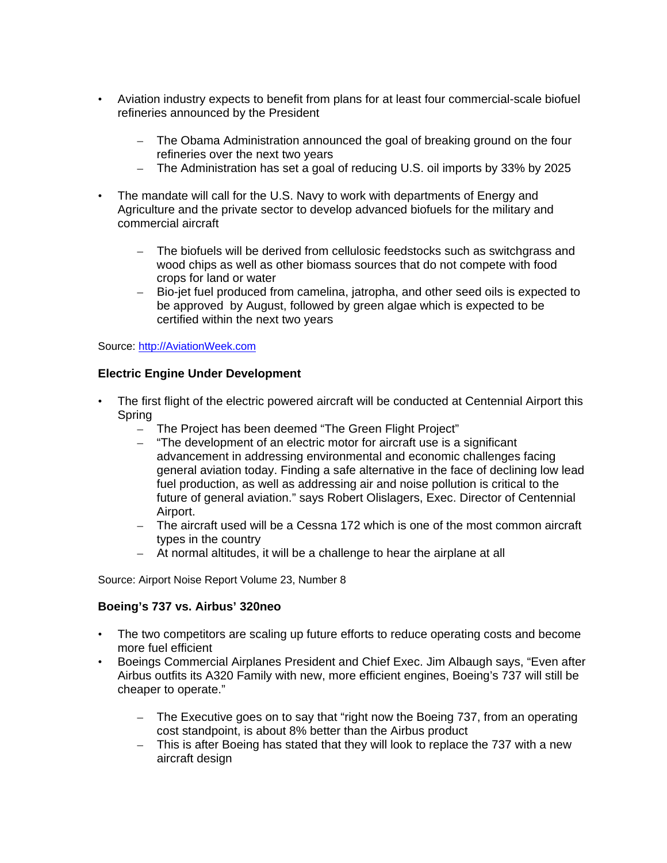- Aviation industry expects to benefit from plans for at least four commercial-scale biofuel refineries announced by the President
	- The Obama Administration announced the goal of breaking ground on the four refineries over the next two years
	- The Administration has set a goal of reducing U.S. oil imports by 33% by 2025
- The mandate will call for the U.S. Navy to work with departments of Energy and Agriculture and the private sector to develop advanced biofuels for the military and commercial aircraft
	- The biofuels will be derived from cellulosic feedstocks such as switchgrass and wood chips as well as other biomass sources that do not compete with food crops for land or water
	- Bio-jet fuel produced from camelina, jatropha, and other seed oils is expected to be approved by August, followed by green algae which is expected to be certified within the next two years

#### Source: [http://AviationWeek.com](http://aviationweek.com/)

## **Electric Engine Under Development**

- The first flight of the electric powered aircraft will be conducted at Centennial Airport this Spring
	- The Project has been deemed "The Green Flight Project"
	- "The development of an electric motor for aircraft use is a significant advancement in addressing environmental and economic challenges facing general aviation today. Finding a safe alternative in the face of declining low lead fuel production, as well as addressing air and noise pollution is critical to the future of general aviation." says Robert Olislagers, Exec. Director of Centennial Airport.
	- The aircraft used will be a Cessna 172 which is one of the most common aircraft types in the country
	- At normal altitudes, it will be a challenge to hear the airplane at all

Source: Airport Noise Report Volume 23, Number 8

#### **Boeing's 737 vs. Airbus' 320neo**

- The two competitors are scaling up future efforts to reduce operating costs and become more fuel efficient
- Boeings Commercial Airplanes President and Chief Exec. Jim Albaugh says, "Even after Airbus outfits its A320 Family with new, more efficient engines, Boeing's 737 will still be cheaper to operate."
	- The Executive goes on to say that "right now the Boeing 737, from an operating cost standpoint, is about 8% better than the Airbus product
	- This is after Boeing has stated that they will look to replace the 737 with a new aircraft design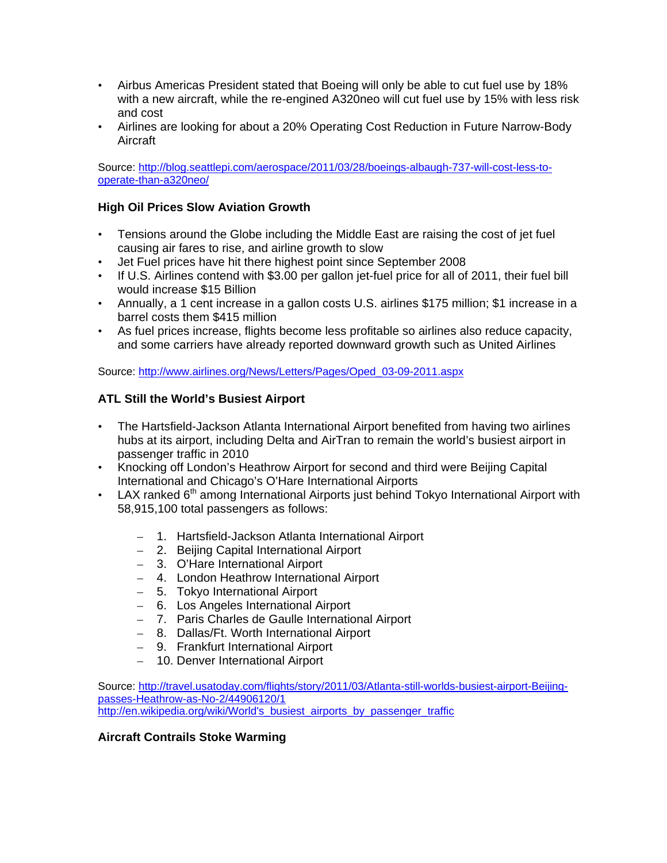- Airbus Americas President stated that Boeing will only be able to cut fuel use by 18% with a new aircraft, while the re-engined A320neo will cut fuel use by 15% with less risk and cost
- Airlines are looking for about a 20% Operating Cost Reduction in Future Narrow-Body Aircraft

Source: [http://blog.seattlepi.com/aerospace/2011/03/28/boeings-albaugh-737-will-cost-less-to](http://blog.seattlepi.com/aerospace/2011/03/28/boeings-albaugh-737-will-cost-less-to-operate-than-a320neo/)[operate-than-a320neo/](http://blog.seattlepi.com/aerospace/2011/03/28/boeings-albaugh-737-will-cost-less-to-operate-than-a320neo/)

# **High Oil Prices Slow Aviation Growth**

- Tensions around the Globe including the Middle East are raising the cost of jet fuel causing air fares to rise, and airline growth to slow
- Jet Fuel prices have hit there highest point since September 2008
- If U.S. Airlines contend with \$3.00 per gallon jet-fuel price for all of 2011, their fuel bill would increase \$15 Billion
- Annually, a 1 cent increase in a gallon costs U.S. airlines \$175 million; \$1 increase in a barrel costs them \$415 million
- As fuel prices increase, flights become less profitable so airlines also reduce capacity, and some carriers have already reported downward growth such as United Airlines

Source: [http://www.airlines.org/News/Letters/Pages/Oped\\_03-09-2011.aspx](http://www.airlines.org/News/Letters/Pages/Oped_03-09-2011.aspx)

# **ATL Still the World's Busiest Airport**

- The Hartsfield-Jackson Atlanta International Airport benefited from having two airlines hubs at its airport, including Delta and AirTran to remain the world's busiest airport in passenger traffic in 2010
- Knocking off London's Heathrow Airport for second and third were Beijing Capital International and Chicago's O'Hare International Airports
- LAX ranked 6<sup>th</sup> among International Airports just behind Tokyo International Airport with 58,915,100 total passengers as follows:
	- 1. Hartsfield-Jackson Atlanta International Airport
	- 2. Beijing Capital International Airport
	- 3. O'Hare International Airport
	- 4. London Heathrow International Airport
	- 5. Tokyo International Airport
	- 6. Los Angeles International Airport
	- 7. Paris Charles de Gaulle International Airport
	- 8. Dallas/Ft. Worth International Airport
	- 9. Frankfurt International Airport
	- 10. Denver International Airport

Source: [http://travel.usatoday.com/flights/story/2011/03/Atlanta-still-worlds-busiest-airport-Beijing](http://travel.usatoday.com/flights/story/2011/03/Atlanta-still-worlds-busiest-airport-Beijing-passes-Heathrow-as-No-2/44906120/1)[passes-Heathrow-as-No-2/44906120/1](http://travel.usatoday.com/flights/story/2011/03/Atlanta-still-worlds-busiest-airport-Beijing-passes-Heathrow-as-No-2/44906120/1) [http://en.wikipedia.org/wiki/World's\\_busiest\\_airports\\_by\\_passenger\\_traffic](http://en.wikipedia.org/wiki/World)

#### **Aircraft Contrails Stoke Warming**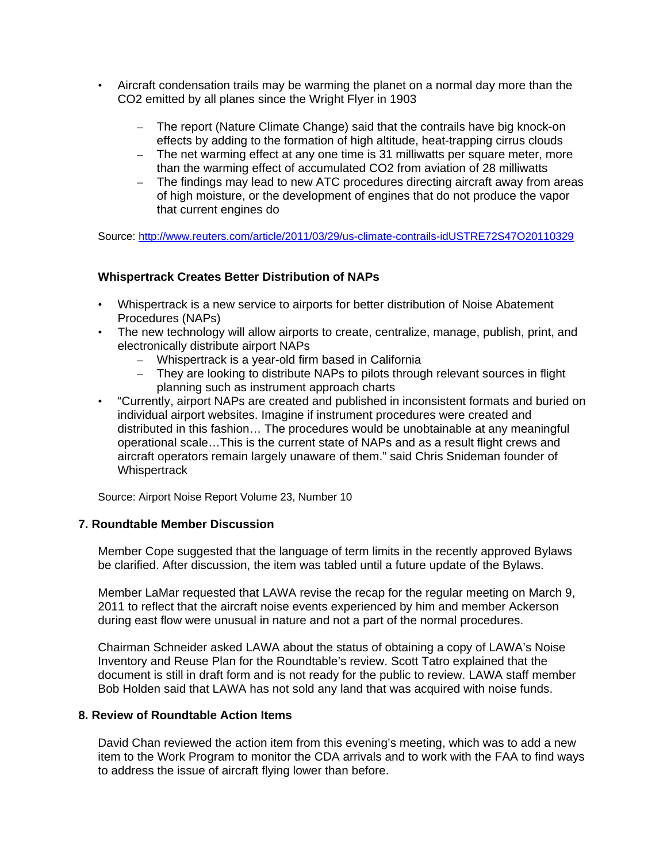- Aircraft condensation trails may be warming the planet on a normal day more than the CO2 emitted by all planes since the Wright Flyer in 1903
	- The report (Nature Climate Change) said that the contrails have big knock-on effects by adding to the formation of high altitude, heat-trapping cirrus clouds
	- The net warming effect at any one time is 31 milliwatts per square meter, more than the warming effect of accumulated CO2 from aviation of 28 milliwatts
	- The findings may lead to new ATC procedures directing aircraft away from areas of high moisture, or the development of engines that do not produce the vapor that current engines do

Source:<http://www.reuters.com/article/2011/03/29/us-climate-contrails-idUSTRE72S47O20110329>

#### **Whispertrack Creates Better Distribution of NAPs**

- Whispertrack is a new service to airports for better distribution of Noise Abatement Procedures (NAPs)
- The new technology will allow airports to create, centralize, manage, publish, print, and electronically distribute airport NAPs
	- Whispertrack is a year-old firm based in California
	- They are looking to distribute NAPs to pilots through relevant sources in flight planning such as instrument approach charts
- "Currently, airport NAPs are created and published in inconsistent formats and buried on individual airport websites. Imagine if instrument procedures were created and distributed in this fashion… The procedures would be unobtainable at any meaningful operational scale…This is the current state of NAPs and as a result flight crews and aircraft operators remain largely unaware of them." said Chris Snideman founder of **Whispertrack**

Source: Airport Noise Report Volume 23, Number 10

#### **7. Roundtable Member Discussion**

Member Cope suggested that the language of term limits in the recently approved Bylaws be clarified. After discussion, the item was tabled until a future update of the Bylaws.

Member LaMar requested that LAWA revise the recap for the regular meeting on March 9, 2011 to reflect that the aircraft noise events experienced by him and member Ackerson during east flow were unusual in nature and not a part of the normal procedures.

Chairman Schneider asked LAWA about the status of obtaining a copy of LAWA's Noise Inventory and Reuse Plan for the Roundtable's review. Scott Tatro explained that the document is still in draft form and is not ready for the public to review. LAWA staff member Bob Holden said that LAWA has not sold any land that was acquired with noise funds.

## **8. Review of Roundtable Action Items**

David Chan reviewed the action item from this evening's meeting, which was to add a new item to the Work Program to monitor the CDA arrivals and to work with the FAA to find ways to address the issue of aircraft flying lower than before.